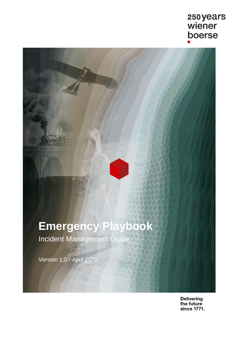## 250 years<br>wiener boerse

# **Emergency Playbook**

Incident Management Guide

Version 1.0 - April 2022

Delivering<br>the future since 1771.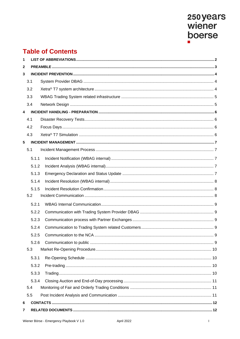# 250 years<br>wiener boerse

## **Table of Contents**

| 1            |       |  |  |  |  |
|--------------|-------|--|--|--|--|
| $\mathbf{2}$ |       |  |  |  |  |
| 3            |       |  |  |  |  |
|              | 3.1   |  |  |  |  |
|              | 3.2   |  |  |  |  |
|              | 3.3   |  |  |  |  |
|              | 3.4   |  |  |  |  |
| 4            |       |  |  |  |  |
|              | 4.1   |  |  |  |  |
|              | 4.2   |  |  |  |  |
|              | 4.3   |  |  |  |  |
| 5            |       |  |  |  |  |
|              | 5.1   |  |  |  |  |
|              | 5.1.1 |  |  |  |  |
|              | 5.1.2 |  |  |  |  |
|              | 5.1.3 |  |  |  |  |
|              | 5.1.4 |  |  |  |  |
|              | 5.1.5 |  |  |  |  |
|              | 5.2   |  |  |  |  |
|              | 5.2.1 |  |  |  |  |
|              | 5.2.2 |  |  |  |  |
|              | 5.2.3 |  |  |  |  |
|              | 5.2.4 |  |  |  |  |
|              | 5.2.5 |  |  |  |  |
|              | 5.2.6 |  |  |  |  |
| 5.3          |       |  |  |  |  |
|              | 5.3.1 |  |  |  |  |
|              | 5.3.2 |  |  |  |  |
|              | 5.3.3 |  |  |  |  |
|              | 5.3.4 |  |  |  |  |
|              | 5.4   |  |  |  |  |
|              | 5.5   |  |  |  |  |
| 6            |       |  |  |  |  |
| 7            |       |  |  |  |  |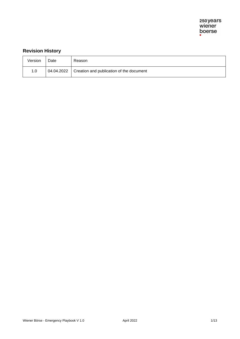### **Revision History**

| Version | Date | Reason                                              |
|---------|------|-----------------------------------------------------|
| 1.0     |      | 04.04.2022 Creation and publication of the document |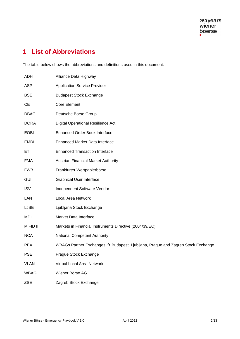## <span id="page-3-0"></span>**1 List of Abbreviations**

The table below shows the abbreviations and definitions used in this document.

| <b>ADH</b>  | Alliance Data Highway                                                                       |
|-------------|---------------------------------------------------------------------------------------------|
| <b>ASP</b>  | <b>Application Service Provider</b>                                                         |
| <b>BSE</b>  | <b>Budapest Stock Exchange</b>                                                              |
| <b>CE</b>   | Core Element                                                                                |
| <b>DBAG</b> | Deutsche Börse Group                                                                        |
| <b>DORA</b> | Digital Operational Resilience Act                                                          |
| <b>EOBI</b> | Enhanced Order Book Interface                                                               |
| <b>EMDI</b> | <b>Enhanced Market Data Interface</b>                                                       |
| ETI         | <b>Enhanced Transaction Interface</b>                                                       |
| <b>FMA</b>  | <b>Austrian Financial Market Authority</b>                                                  |
| <b>FWB</b>  | Frankfurter Wertpapierbörse                                                                 |
| <b>GUI</b>  | <b>Graphical User Interface</b>                                                             |
| <b>ISV</b>  | Independent Software Vendor                                                                 |
| LAN         | <b>Local Area Network</b>                                                                   |
| <b>LJSE</b> | Ljubljana Stock Exchange                                                                    |
| <b>MDI</b>  | Market Data Interface                                                                       |
| MiFID II    | Markets in Financial Instruments Directive (2004/39/EC)                                     |
| <b>NCA</b>  | <b>National Competent Authority</b>                                                         |
| <b>PEX</b>  | WBAGs Partner Exchanges $\rightarrow$ Budapest, Ljubljana, Prague and Zagreb Stock Exchange |
| <b>PSE</b>  | Prague Stock Exchange                                                                       |
| <b>VLAN</b> | Virtual Local Area Network                                                                  |
| <b>WBAG</b> | Wiener Börse AG                                                                             |
| ZSE         | Zagreb Stock Exchange                                                                       |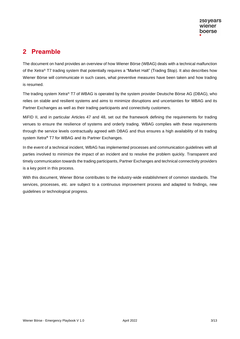## <span id="page-4-0"></span>**2 Preamble**

The document on hand provides an overview of how Wiener Börse (WBAG) deals with a technical malfunction of the Xetra® T7 trading system that potentially requires a "Market Halt" (Trading Stop). It also describes how Wiener Börse will communicate in such cases, what preventive measures have been taken and how trading is resumed.

The trading system Xetra® T7 of WBAG is operated by the system provider Deutsche Börse AG (DBAG), who relies on stable and resilient systems and aims to minimize disruptions and uncertainties for WBAG and its Partner Exchanges as well as their trading participants and connectivity customers.

MiFID II, and in particular Articles 47 and 48, set out the framework defining the requirements for trading venues to ensure the resilience of systems and orderly trading. WBAG complies with these requirements through the service levels contractually agreed with DBAG and thus ensures a high availability of its trading system Xetra**®** T7 for WBAG and its Partner Exchanges.

In the event of a technical incident, WBAG has implemented processes and communication guidelines with all parties involved to minimize the impact of an incident and to resolve the problem quickly. Transparent and timely communication towards the trading participants, Partner Exchanges and technical connectivity providers is a key point in this process.

With this document, Wiener Börse contributes to the industry-wide establishment of common standards. The services, processes, etc. are subject to a continuous improvement process and adapted to findings, new guidelines or technological progress.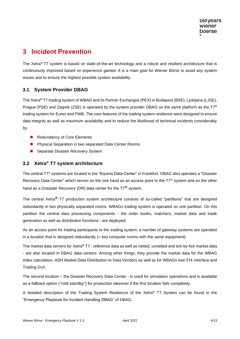## <span id="page-5-0"></span>**3 Incident Prevention**

The Xetra® T7 system is based on state-of-the-art technology and a robust and resilient architecture that is continuously improved based on experience gained. It is a main goal for Wiener Börse to avoid any system issues and to ensure the highest possible system availability.

#### <span id="page-5-1"></span>**3.1 System Provider DBAG**

The Xetra**®** T7 trading system of WBAG and its Partner Exchanges (PEX) in Budapest (BSE), Ljubljana (LJSE), Prague (PSE) and Zagreb (ZSE) is operated by the system provider DBAG on the same platform as the T7**®** trading system for Eurex and FWB. The core features of the trading system resilience were designed to ensure data integrity as well as maximum availability and to reduce the likelihood of technical incidents considerably by

- Redundancy of Core Elements
- Physical Separation in two separated Data Center Rooms
- Separate Disaster Recovery System

#### <span id="page-5-2"></span>**3.2 Xetra® T7 system architecture**

The central T7® systems are located in the "Equinix Data Center" in Frankfurt. DBAG also operates a "Disaster Recovery Data Center" which serves on the one hand as an access point to the T7<sup>®</sup> system and on the other hand as a Distaster Recovery (DR) data center for the T7**®** system.

The central Xetra**®** T7 production system architecture consists of so-called "partitions" that are designed redundantly in two physically separated rooms. WBAGs trading system is operated on one partition. On this partition the central data processing components - the order books, matchers, market data and trade generation as well as distribution functions - are deployed.

As an access point for trading participants to the trading system, a number of gateway systems are operated in a location that is designed redundantly  $(= two \text{ computer rooms with the same equipment}).$ 

The market data servers for Xetra**®** T7 - reference data as well as netted, unnetted and tick-by-tick market data - are also located in DBAG data centers. Among other things, they provide the market data for the WBAG index calculation, ADH Market Data Distribution to Data Vendors as well as for WBAGs own FIX interface and Trading GUI.

The second location – the Disaster Recovery Data Center - is used for simulation operations and is available as a fallback option ("cold standby") for production takeover if the first location fails completely.

A detailed description of the Trading System Resilience of the Xetra**®** T7 System can be found in the "Emergency Playbook for Incident Handling DBAG" of DBAG.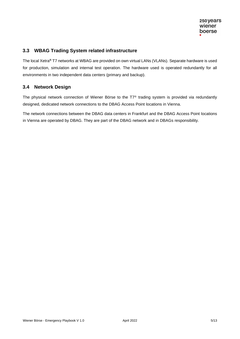#### <span id="page-6-0"></span>**3.3 WBAG Trading System related infrastructure**

The local Xetra**®** T7 networks at WBAG are provided on own virtual LANs (VLANs). Separate hardware is used for production, simulation and internal test operation. The hardware used is operated redundantly for all environments in two independent data centers (primary and backup).

#### <span id="page-6-1"></span>**3.4 Network Design**

The physical network connection of Wiener Börse to the T7® trading system is provided via redundantly designed, dedicated network connections to the DBAG Access Point locations in Vienna.

The network connections between the DBAG data centers in Frankfurt and the DBAG Access Point locations in Vienna are operated by DBAG. They are part of the DBAG network and in DBAGs responsibility.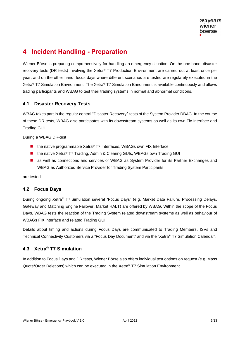## <span id="page-7-0"></span>**4 Incident Handling - Preparation**

Wiener Börse is preparing comprehensively for handling an emergency situation. On the one hand, disaster recovery tests (DR tests) involving the Xetra® T7 Production Environment are carried out at least once per year, and on the other hand, focus days where different scenarios are tested are regularely executed in the Xetra® T7 Simulation Environment. The Xetra® T7 Simulation Enironment is available continuously and allows trading participants and WBAG to test their trading systems in normal and abnormal conditions.

#### <span id="page-7-1"></span>**4.1 Disaster Recovery Tests**

WBAG takes part in the regular central "Disaster Recovery"-tests of the System Provider DBAG. In the course of these DR-tests, WBAG also participates with its downstream systems as well as its own Fix Interface and Trading GUI.

During a WBAG DR-test

- the native programmable Xetra® T7 Interfaces, WBAGs own FIX Interface
- the native Xetra® T7 Trading, Admin & Clearing GUIs, WBAGs own Trading GUI
- as well as connections and services of WBAG as System Provider for its Partner Exchanges and WBAG as Authorized Service Provider for Trading System Participants

are tested.

#### <span id="page-7-2"></span>**4.2 Focus Days**

During ongoing Xetra**®** T7 Simulation several "Focus Days" (e.g. Market Data Failure, Processing Delays, Gateway and Matching Engine Failover, Market HALT) are offered by WBAG. Within the scope of the Focus Days, WBAG tests the reaction of the Trading System related downstream systems as well as behaviour of WBAGs FIX interface and related Trading GUI.

Details about timing and actions during Focus Days are communicated to Trading Members, ISVs and Technical Connectivity Customers via a "Focus Day Document" and via the "Xetra**®** T7 Simulation Calendar".

#### <span id="page-7-3"></span>**4.3 Xetra® T7 Simulation**

In addition to Focus Days and DR tests, Wiener Börse also offers individual test options on request (e.g. Mass Quote/Order Deletions) which can be executed in the Xetra® T7 Simulation Environment.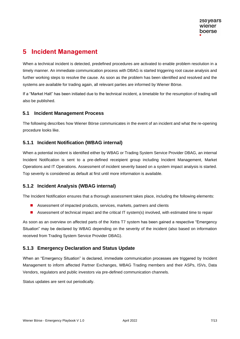## <span id="page-8-0"></span>**5 Incident Management**

When a technical incident is detected, predefined procedures are activated to enable problem resolution in a timely manner. An immediate communication process with DBAG is started triggering root cause analysis and further working steps to resolve the cause. As soon as the problem has been identified and resolved and the systems are available for trading again, all relevant parties are informed by Wiener Börse.

If a "Market Halt" has been initiated due to the technical incident, a timetable for the resumption of trading will also be published.

#### <span id="page-8-1"></span>**5.1 Incident Management Process**

The following describes how Wiener Börse communicates in the event of an incident and what the re-opening procedure looks like.

#### <span id="page-8-2"></span>**5.1.1 Incident Notification (WBAG internal)**

When a potential incident is identified either by WBAG or Trading System Service Provider DBAG, an internal Incident Notification is sent to a pre-defined receipient group including Incident Management, Market Operations and IT Operations. Assessment of incident severity based on a system impact analysis is started. Top severity is considered as default at first until more information is available.

#### <span id="page-8-3"></span>**5.1.2 Incident Analysis (WBAG internal)**

The Incident Notification ensures that a thorough assessment takes place, including the following elements:

- Assessment of impacted products, services, markets, partners and clients
- Assessment of technical impact and the critical IT system(s) involved, with estimated time to repair

As soon as an overview on affected parts of the Xetra T7 system has been gained a respective "Emergency Situation" may be declared by WBAG depending on the severity of the incident (also based on information received from Trading System Service Provider DBAG).

#### <span id="page-8-4"></span>**5.1.3 Emergency Declaration and Status Update**

When an "Emergency Situation" is declared, immediate communication processes are triggered by Incident Management to inform affected Partner Exchanges, WBAG Trading members and their ASPs, ISVs, Data Vendors, regulators and public investors via pre-defined communication channels.

Status updates are sent out periodically.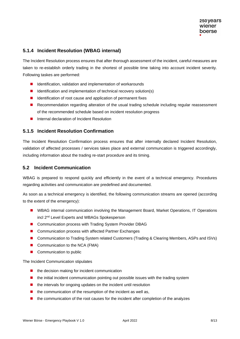#### <span id="page-9-0"></span>**5.1.4 Incident Resolution (WBAG internal)**

The Incident Resolution process ensures that after thorough assessment of the incident, careful measures are taken to re-establish orderly trading in the shortest of possible time taking into account incident severity. Following taskes are performed:

- Identification, validation and implementation of workarounds
- Identification and implementation of technical recovery solution(s)
- Identification of root cause and application of permanent fixes
- Recommendation regarding alteration of the usual trading schedule including regular reassessment of the recommended schedule based on incident resolution progress
- Internal declaration of Incident Resolution

#### <span id="page-9-1"></span>**5.1.5 Incident Resolution Confirmation**

The Incident Resolution Confirmation process ensures that after internally declared Incident Resolution, validation of affected processes / services takes place and external communcation is triggered accordingly, including information about the trading re-start procedure and its timing.

#### <span id="page-9-2"></span>**5.2 Incident Communication**

WBAG is prepared to respond quickly and efficiently in the event of a technical emergency. Procedures regarding activities and communication are predefined and documented.

As soon as a technical emergency is identified, the following communication streams are opened (according to the extent of the emergency):

- WBAG internal communication involving the Management Board, Market Operations, IT Operations incl 2nd Level Experts and WBAGs Spokesperson
- Communication process with Trading System Provider DBAG
- Communication process with affected Partner Exchanges
- Communication to Trading System related Customers (Trading & Clearing Members, ASPs and ISVs)
- Communication to the NCA (FMA)
- Communication to public

The Incident Communication stipulates

- the decision making for incident communication
- the initial incident communication pointing out possible issues with the trading system
- the intervals for ongoing updates on the incident until resolution
- $\blacksquare$  the communication of the resumption of the incident as well as,
- the communication of the root causes for the incident after completion of the analyzes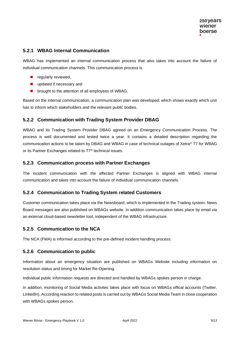#### <span id="page-10-0"></span>**5.2.1 WBAG Internal Communication**

WBAG has implemented an internal communication process that also takes into account the failure of individual communication channels. This communication process is

- regularly reviewed,
- updated if necessary and
- brought to the attention of all employees of WBAG.

Based on the internal communication, a communication plan was developed, which shows exactly which unit has to inform which stakeholders and the relevant public bodies.

#### <span id="page-10-1"></span>**5.2.2 Communication with Trading System Provider DBAG**

WBAG and its Trading System Provider DBAG agreed on an Emergency Communication Process. The process is well documented and tested twice a year. It contains a detailed description regarding the communication actions to be taken by DBAG and WBAG in case of technical outages of Xetra® T7 for WBAG or its Partner Exchanges related to T7® technical issues.

#### <span id="page-10-2"></span>**5.2.3 Communication process with Partner Exchanges**

The incident communication with the affected Partner Exchanges is aligned with WBAG internal communication and takes into account the failure of individual communication channels.

#### <span id="page-10-3"></span>**5.2.4 Communication to Trading System related Customers**

Customer communication takes place via the Newsboard, which is implemented in the Trading system. News Board messages are also published on WBAGs website. In addition communication takes place by email via an external cloud-based newsletter tool, independent of the WBAG infrastructure.

#### <span id="page-10-4"></span>**5.2.5 Communication to the NCA**

The NCA (FMA) is informed according to the pre-defined incident handling process.

#### <span id="page-10-5"></span>**5.2.6 Communication to public**

Information about an emergency situation are published on WBAGs Website including information on resolution status and timing for Market Re-Opening.

Individual public information requests are directed and handled by WBAGs spokes person in charge.

In addition, monitoring of Social Media activites takes place with focus on WBAGs offical accounts (Twitter, LinkedIn). According reaction to related posts is carried out by WBAGs Social Media Team in close cooperation with WBAGs spokes person.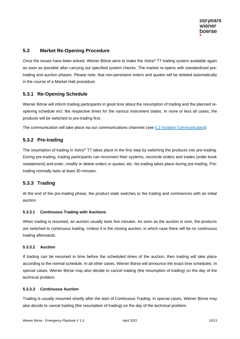#### <span id="page-11-0"></span>**5.3 Market Re-Opening Procedure**

Once the issues have been solved, Wiener Börse aims to make the Xetra® T7 trading system available again as soon as possible after carrying out specified system checks. The market re-opens with standardized pretrading and auction phases. Please note, that non-persistent orders and quotes will be deleted automatically in the course of a Market Halt procedure.

#### <span id="page-11-1"></span>**5.3.1 Re-Opening Schedule**

Wiener Börse will inform trading participants in good time about the resumption of trading and the planned reopening schedule incl. the respective times for the various instrument states. In more or less all cases, the products will be switched to pre-trading first.

The communication will take place via our communications channels (see [5.2 Incident Communication\)](#page-9-2).

#### <span id="page-11-2"></span>**5.3.2 Pre-trading**

The resumption of trading in Xetra® T7 takes place in the first step by switching the products into pre-trading. During pre-trading, trading participants can reconnect their systems, reconcile orders and trades (order book restatement) and enter, modify or delete orders or quotes, etc. No trading takes place during pre-trading. Pretrading normally lasts at least 30 minutes.

#### <span id="page-11-3"></span>**5.3.3 Trading**

At the end of the pre-trading phase, the product state switches to the trading and commences with an initial auction.

#### **5.3.3.1 Continuous Trading with Auctions**

When trading is resumed, an auction usually lasts five minutes. As soon as the auction is over, the products are switched to continuous trading. Unless it is the closing auction, in which case there will be no continuous trading afterwards.

#### **5.3.3.2 Auction**

If trading can be resumed in time before the scheduled times of the auction, then trading will take place according to the normal schedule. In all other cases, Wiener Börse will announce the exact time schedules. In special cases, Wiener Börse may also decide to cancel trading (the resumption of trading) on the day of the technical problem.

#### **5.3.3.3 Continuous Auction**

Trading is usually resumed shortly after the start of Continuous Trading. In special cases, Wiener Börse may also decide to cancel trading (the resumption of trading) on the day of the technical problem.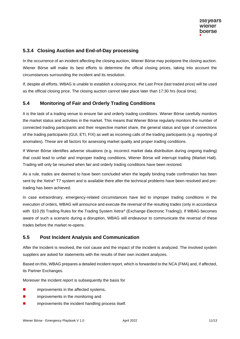#### <span id="page-12-0"></span>**5.3.4 Closing Auction and End-of-Day processing**

In the occurrence of an incident affecting the closing auction, Wiener Börse may postpone the closing auction. Wiener Börse will make its best efforts to determine the offical closing prices, taking into account the circumstances surrounding the incident and its resolution.

If, despite all efforts, WBAG is unable to establish a closing price, the Last Price (last traded price) will be used as the official closing price. The closing auction cannot take place later than 17:30 hrs (local time).

#### <span id="page-12-1"></span>**5.4 Monitoring of Fair and Orderly Trading Conditions**

It is the task of a trading venue to ensure fair and orderly trading conditions. Wiener Börse carefully monitors the market status and activities in the market. This means that Wiener Börse regularly monitors the number of connected trading participants and their respective market share, the general status and type of connections of the trading participants (GUI, ETI, FIX) as well as incoming calls of the trading participants (e.g. reporting of anomalies). These are all factors for assessing market quality and proper trading conditions.

If Wiener Börse identifies adverse situations (e.g. incorrect market data distribution during ongoing trading) that could lead to unfair and improper trading conditions, Wiener Börse will interrupt trading (Market Halt). Trading will only be resumed when fair and orderly trading conditions have been restored.

As a rule, trades are deemed to have been concluded when the legally binding trade confirmation has been sent by the Xetra® T7 system and is available there after the technical problems have been resolved and pretrading has been achieved.

In case extraordinary, emergency-related circumstances have led to improper trading conditions in the execution of orders, WBAG will announce and execute the reversal of the resulting trades (only in accordance with §10 (9) Trading Rules for the Trading System Xetra® (Exchange Electronic Trading)). If WBAG becomes aware of such a scenario during a disruption, WBAG will endeavour to communicate the reversal of these trades before the market re-opens.

#### <span id="page-12-2"></span>**5.5 Post Incident Analysis and Communication**

After the Incident is resolved, the root cause and the impact of the incident is analyzed. The involved system suppliers are asked for statements with the results of their own incident analyzes.

Based on this, WBAG prepares a detailed incident report, which is forwarded to the NCA (FMA) and, if affected, its Partner Exchanges.

Moreover the incident report is subsequently the basis for

- improvements in the affected systems,
- improvements in the monitoring and
- improvements the incident handling process itself.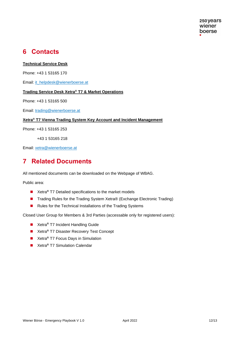## <span id="page-13-0"></span>**6 Contacts**

#### **Technical Service Desk**

Phone: +43 1 53165 170

Email: [it\\_helpdesk@wienerboerse.at](mailto:it_helpdesk@wienerboerse.at)

#### **Trading Service Desk Xetra® T7 & Market Operations**

Phone: +43 1 53165 500

Email: [trading@wienerboerse.at](mailto:trading@wienerboerse.at)

#### **Xetra® T7 Vienna Trading System Key Account and Incident Management**

Phone: +43 1 53165 253

+43 1 53165 218

Email: xetra@wienerboerse.at

### <span id="page-13-1"></span>**7 Related Documents**

All mentioned documents can be downloaded on the Webpage of WBAG.

Public area:

- Xetra<sup>®</sup> T7 Detailed specifications to the market models
- Trading Rules for the Trading System Xetra® (Exchange Electronic Trading)
- Rules for the Technical Installations of the Trading Systems

Closed User Group for Members & 3rd Parties (accessable only for registered users):

- Xetra<sup>®</sup> T7 Incident Handling Guide
- ◼ Xetra**®** T7 Disaster Recovery Test Concept
- Xetra<sup>®</sup> T7 Focus Days in Simulation
- Xetra<sup>®</sup> T7 Simulation Calendar